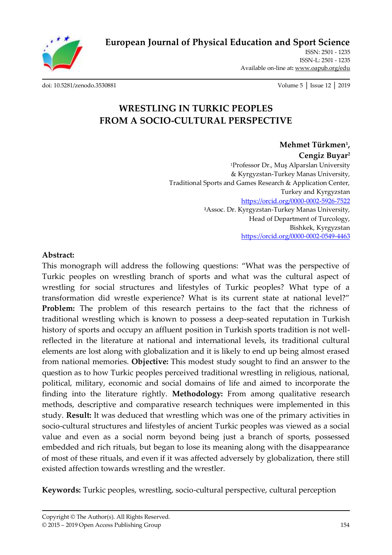

**[European Journal of Physical Education and Sport Science](http://oapub.org/edu/index.php/ejep)**

ISSN: 2501 - 1235 ISSN-L: 2501 - 1235 Available on-line at**:** [www.oapub.org/edu](http://www.oapub.org/edu)

[doi: 10.5281/zenodo.3530881](http://dx.doi.org/10.5281/zenodo.3530881) Volume 5 │ Issue 12 │ 2019

# **WRESTLING IN TURKIC PEOPLES FROM A SOCIO-CULTURAL PERSPECTIVE**

**Mehmet Türkmen<sup>1</sup> , Cengiz Buyar<sup>2</sup>** <sup>1</sup>Professor Dr., Muş Alparslan University & Kyrgyzstan-Turkey Manas University, Traditional Sports and Games Research & Application Center, Turkey and Kyrgyzstan <https://orcid.org/0000-0002-5926-7522> **<sup>2</sup>**Assoc. Dr. Kyrgyzstan-Turkey Manas University, Head of Department of Turcology, Bishkek, Kyrgyzstan <https://orcid.org/0000-0002-0549-4463>

#### **Abstract:**

This monograph will address the following questions: "What was the perspective of Turkic peoples on wrestling branch of sports and what was the cultural aspect of wrestling for social structures and lifestyles of Turkic peoples? What type of a transformation did wrestle experience? What is its current state at national level?" **Problem:** The problem of this research pertains to the fact that the richness of traditional wrestling which is known to possess a deep-seated reputation in Turkish history of sports and occupy an affluent position in Turkish sports tradition is not wellreflected in the literature at national and international levels, its traditional cultural elements are lost along with globalization and it is likely to end up being almost erased from national memories. **Objective:** This modest study sought to find an answer to the question as to how Turkic peoples perceived traditional wrestling in religious, national, political, military, economic and social domains of life and aimed to incorporate the finding into the literature rightly. **Methodology:** From among qualitative research methods, descriptive and comparative research techniques were implemented in this study. **Result:** It was deduced that wrestling which was one of the primary activities in socio-cultural structures and lifestyles of ancient Turkic peoples was viewed as a social value and even as a social norm beyond being just a branch of sports, possessed embedded and rich rituals, but began to lose its meaning along with the disappearance of most of these rituals, and even if it was affected adversely by globalization, there still existed affection towards wrestling and the wrestler.

**Keywords:** Turkic peoples, wrestling, socio-cultural perspective, cultural perception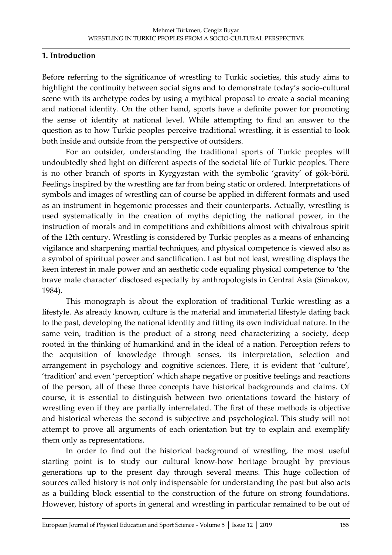### **1. Introduction**

Before referring to the significance of wrestling to Turkic societies, this study aims to highlight the continuity between social signs and to demonstrate today's socio-cultural scene with its archetype codes by using a mythical proposal to create a social meaning and national identity. On the other hand, sports have a definite power for promoting the sense of identity at national level. While attempting to find an answer to the question as to how Turkic peoples perceive traditional wrestling, it is essential to look both inside and outside from the perspective of outsiders.

For an outsider, understanding the traditional sports of Turkic peoples will undoubtedly shed light on different aspects of the societal life of Turkic peoples. There is no other branch of sports in Kyrgyzstan with the symbolic 'gravity' of gök-börü. Feelings inspired by the wrestling are far from being static or ordered. Interpretations of symbols and images of wrestling can of course be applied in different formats and used as an instrument in hegemonic processes and their counterparts. Actually, wrestling is used systematically in the creation of myths depicting the national power, in the instruction of morals and in competitions and exhibitions almost with chivalrous spirit of the 12th century. Wrestling is considered by Turkic peoples as a means of enhancing vigilance and sharpening martial techniques, and physical competence is viewed also as a symbol of spiritual power and sanctification. Last but not least, wrestling displays the keen interest in male power and an aesthetic code equaling physical competence to 'the brave male character' disclosed especially by anthropologists in Central Asia (Simakov, 1984).

This monograph is about the exploration of traditional Turkic wrestling as a lifestyle. As already known, culture is the material and immaterial lifestyle dating back to the past, developing the national identity and fitting its own individual nature. In the same vein, tradition is the product of a strong need characterizing a society, deep rooted in the thinking of humankind and in the ideal of a nation. Perception refers to the acquisition of knowledge through senses, its interpretation, selection and arrangement in psychology and cognitive sciences. Here, it is evident that 'culture', 'tradition' and even 'perception' which shape negative or positive feelings and reactions of the person, all of these three concepts have historical backgrounds and claims. Of course, it is essential to distinguish between two orientations toward the history of wrestling even if they are partially interrelated. The first of these methods is objective and historical whereas the second is subjective and psychological. This study will not attempt to prove all arguments of each orientation but try to explain and exemplify them only as representations.

In order to find out the historical background of wrestling, the most useful starting point is to study our cultural know-how heritage brought by previous generations up to the present day through several means. This huge collection of sources called history is not only indispensable for understanding the past but also acts as a building block essential to the construction of the future on strong foundations. However, history of sports in general and wrestling in particular remained to be out of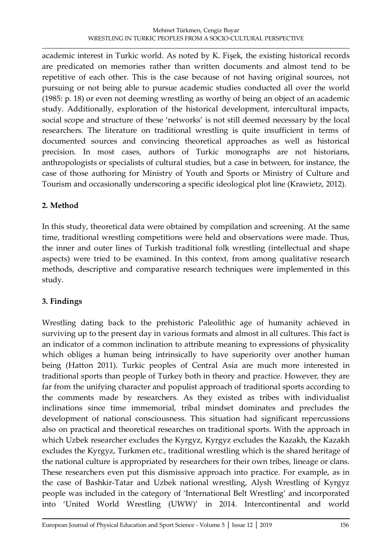academic interest in Turkic world. As noted by K. Fişek, the existing historical records are predicated on memories rather than written documents and almost tend to be repetitive of each other. This is the case because of not having original sources, not pursuing or not being able to pursue academic studies conducted all over the world (1985: p. 18) or even not deeming wrestling as worthy of being an object of an academic study. Additionally, exploration of the historical development, intercultural impacts, social scope and structure of these 'networks' is not still deemed necessary by the local researchers. The literature on traditional wrestling is quite insufficient in terms of documented sources and convincing theoretical approaches as well as historical precision. In most cases, authors of Turkic monographs are not historians, anthropologists or specialists of cultural studies, but a case in between, for instance, the case of those authoring for Ministry of Youth and Sports or Ministry of Culture and Tourism and occasionally underscoring a specific ideological plot line (Krawietz, 2012).

# **2. Method**

In this study, theoretical data were obtained by compilation and screening. At the same time, traditional wrestling competitions were held and observations were made. Thus, the inner and outer lines of Turkish traditional folk wrestling (intellectual and shape aspects) were tried to be examined. In this context, from among qualitative research methods, descriptive and comparative research techniques were implemented in this study.

# **3. Findings**

Wrestling dating back to the prehistoric Paleolithic age of humanity achieved in surviving up to the present day in various formats and almost in all cultures. This fact is an indicator of a common inclination to attribute meaning to expressions of physicality which obliges a human being intrinsically to have superiority over another human being (Hatton 2011). Turkic peoples of Central Asia are much more interested in traditional sports than people of Turkey both in theory and practice. However, they are far from the unifying character and populist approach of traditional sports according to the comments made by researchers. As they existed as tribes with individualist inclinations since time immemorial, tribal mindset dominates and precludes the development of national consciousness. This situation had significant repercussions also on practical and theoretical researches on traditional sports. With the approach in which Uzbek researcher excludes the Kyrgyz, Kyrgyz excludes the Kazakh, the Kazakh excludes the Kyrgyz, Turkmen etc., traditional wrestling which is the shared heritage of the national culture is appropriated by researchers for their own tribes, lineage or clans. These researchers even put this dismissive approach into practice. For example, as in the case of Bashkir-Tatar and Uzbek national wrestling, Alysh Wrestling of Kyrgyz people was included in the category of 'International Belt Wrestling' and incorporated into 'United World Wrestling (UWW)' in 2014. Intercontinental and world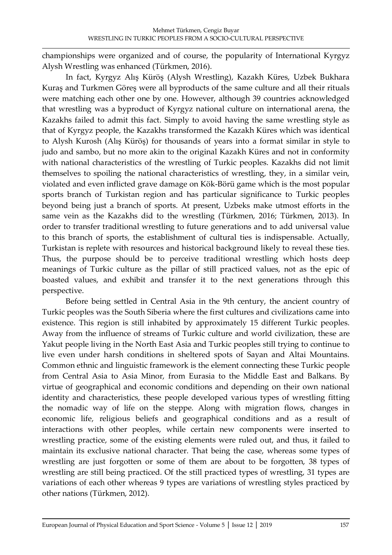championships were organized and of course, the popularity of International Kyrgyz Alysh Wrestling was enhanced (Türkmen, 2016).

In fact, Kyrgyz Alış Küröş (Alysh Wrestling), Kazakh Küres, Uzbek Bukhara Kuraş and Turkmen Göreş were all byproducts of the same culture and all their rituals were matching each other one by one. However, although 39 countries acknowledged that wrestling was a byproduct of Kyrgyz national culture on international arena, the Kazakhs failed to admit this fact. Simply to avoid having the same wrestling style as that of Kyrgyz people, the Kazakhs transformed the Kazakh Küres which was identical to Alysh Kurosh (Alış Küröş) for thousands of years into a format similar in style to judo and sambo, but no more akin to the original Kazakh Küres and not in conformity with national characteristics of the wrestling of Turkic peoples. Kazakhs did not limit themselves to spoiling the national characteristics of wrestling, they, in a similar vein, violated and even inflicted grave damage on Kök-Börü game which is the most popular sports branch of Turkistan region and has particular significance to Turkic peoples beyond being just a branch of sports. At present, Uzbeks make utmost efforts in the same vein as the Kazakhs did to the wrestling (Türkmen, 2016; Türkmen, 2013). In order to transfer traditional wrestling to future generations and to add universal value to this branch of sports, the establishment of cultural ties is indispensable. Actually, Turkistan is replete with resources and historical background likely to reveal these ties. Thus, the purpose should be to perceive traditional wrestling which hosts deep meanings of Turkic culture as the pillar of still practiced values, not as the epic of boasted values, and exhibit and transfer it to the next generations through this perspective.

Before being settled in Central Asia in the 9th century, the ancient country of Turkic peoples was the South Siberia where the first cultures and civilizations came into existence. This region is still inhabited by approximately 15 different Turkic peoples. Away from the influence of streams of Turkic culture and world civilization, these are Yakut people living in the North East Asia and Turkic peoples still trying to continue to live even under harsh conditions in sheltered spots of Sayan and Altai Mountains. Common ethnic and linguistic framework is the element connecting these Turkic people from Central Asia to Asia Minor, from Eurasia to the Middle East and Balkans. By virtue of geographical and economic conditions and depending on their own national identity and characteristics, these people developed various types of wrestling fitting the nomadic way of life on the steppe. Along with migration flows, changes in economic life, religious beliefs and geographical conditions and as a result of interactions with other peoples, while certain new components were inserted to wrestling practice, some of the existing elements were ruled out, and thus, it failed to maintain its exclusive national character. That being the case, whereas some types of wrestling are just forgotten or some of them are about to be forgotten, 38 types of wrestling are still being practiced. Of the still practiced types of wrestling, 31 types are variations of each other whereas 9 types are variations of wrestling styles practiced by other nations (Türkmen, 2012).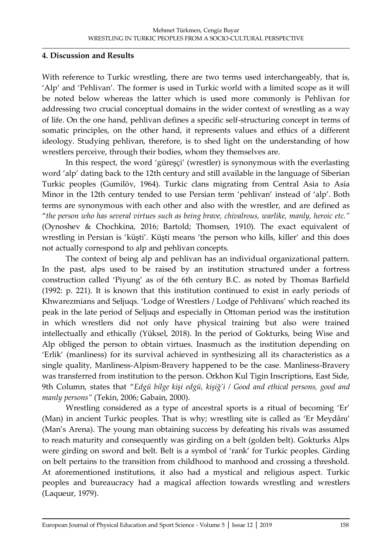#### **4. Discussion and Results**

With reference to Turkic wrestling, there are two terms used interchangeably, that is, 'Alp' and 'Pehlivan'. The former is used in Turkic world with a limited scope as it will be noted below whereas the latter which is used more commonly is Pehlivan for addressing two crucial conceptual domains in the wider context of wrestling as a way of life. On the one hand, pehlivan defines a specific self-structuring concept in terms of somatic principles, on the other hand, it represents values and ethics of a different ideology. Studying pehlivan, therefore, is to shed light on the understanding of how wrestlers perceive, through their bodies, whom they themselves are.

In this respect, the word 'güreşçi' (wrestler) is synonymous with the everlasting word 'alp' dating back to the 12th century and still available in the language of Siberian Turkic peoples (Gumilöv, 1964). Turkic clans migrating from Central Asia to Asia Minor in the 12th century tended to use Persian term 'pehlivan' instead of 'alp'. Both terms are synonymous with each other and also with the wrestler, and are defined as "*the person who has several virtues such as being brave, chivalrous, warlike, manly, heroic etc."* (Oynoshev & Chochkina, 2016; Bartold; Thomsen, 1910). The exact equivalent of wrestling in Persian is 'küşti'. Küşti means 'the person who kills, killer' and this does not actually correspond to alp and pehlivan concepts.

The context of being alp and pehlivan has an individual organizational pattern. In the past, alps used to be raised by an institution structured under a fortress construction called 'Piyung' as of the 6th century B.C. as noted by Thomas Barfield (1992: p. 221). It is known that this institution continued to exist in early periods of Khwarezmians and Seljuqs. 'Lodge of Wrestlers / Lodge of Pehlivans' which reached its peak in the late period of Seljuqs and especially in Ottoman period was the institution in which wrestlers did not only have physical training but also were trained intellectually and ethically (Yüksel, 2018). In the period of Gokturks, being Wise and Alp obliged the person to obtain virtues. Inasmuch as the institution depending on 'Erlik' (manliness) for its survival achieved in synthesizing all its characteristics as a single quality, Manliness-Alpism-Bravery happened to be the case. Manliness-Bravery was transferred from institution to the person. Orkhon Kul Tigin Inscriptions, East Side, 9th Column, states that "*Edgü bilge kişi edgü, kişiğ'i / Good and ethical persons, good and manly persons"* (Tekin, 2006; Gabain, 2000).

Wrestling considered as a type of ancestral sports is a ritual of becoming 'Er' (Man) in ancient Turkic peoples. That is why; wrestling site is called as 'Er Meydânı' (Man's Arena). The young man obtaining success by defeating his rivals was assumed to reach maturity and consequently was girding on a belt (golden belt). Gokturks Alps were girding on sword and belt. Belt is a symbol of 'rank' for Turkic peoples. Girding on belt pertains to the transition from childhood to manhood and crossing a threshold. At aforementioned institutions, it also had a mystical and religious aspect. Turkic peoples and bureaucracy had a magical affection towards wrestling and wrestlers (Laqueur, 1979).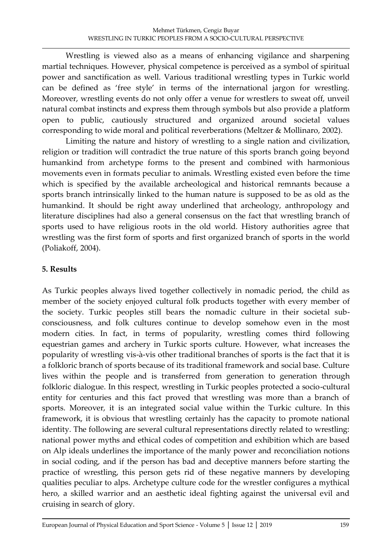Wrestling is viewed also as a means of enhancing vigilance and sharpening martial techniques. However, physical competence is perceived as a symbol of spiritual power and sanctification as well. Various traditional wrestling types in Turkic world can be defined as 'free style' in terms of the international jargon for wrestling. Moreover, wrestling events do not only offer a venue for wrestlers to sweat off, unveil natural combat instincts and express them through symbols but also provide a platform open to public, cautiously structured and organized around societal values corresponding to wide moral and political reverberations (Meltzer & Mollinaro, 2002).

Limiting the nature and history of wrestling to a single nation and civilization, religion or tradition will contradict the true nature of this sports branch going beyond humankind from archetype forms to the present and combined with harmonious movements even in formats peculiar to animals. Wrestling existed even before the time which is specified by the available archeological and historical remnants because a sports branch intrinsically linked to the human nature is supposed to be as old as the humankind. It should be right away underlined that archeology, anthropology and literature disciplines had also a general consensus on the fact that wrestling branch of sports used to have religious roots in the old world. History authorities agree that wrestling was the first form of sports and first organized branch of sports in the world (Poliakoff, 2004).

## **5. Results**

As Turkic peoples always lived together collectively in nomadic period, the child as member of the society enjoyed cultural folk products together with every member of the society. Turkic peoples still bears the nomadic culture in their societal subconsciousness, and folk cultures continue to develop somehow even in the most modern cities. In fact, in terms of popularity, wrestling comes third following equestrian games and archery in Turkic sports culture. However, what increases the popularity of wrestling vis-à-vis other traditional branches of sports is the fact that it is a folkloric branch of sports because of its traditional framework and social base. Culture lives within the people and is transferred from generation to generation through folkloric dialogue. In this respect, wrestling in Turkic peoples protected a socio-cultural entity for centuries and this fact proved that wrestling was more than a branch of sports. Moreover, it is an integrated social value within the Turkic culture. In this framework, it is obvious that wrestling certainly has the capacity to promote national identity. The following are several cultural representations directly related to wrestling: national power myths and ethical codes of competition and exhibition which are based on Alp ideals underlines the importance of the manly power and reconciliation notions in social coding, and if the person has bad and deceptive manners before starting the practice of wrestling, this person gets rid of these negative manners by developing qualities peculiar to alps. Archetype culture code for the wrestler configures a mythical hero, a skilled warrior and an aesthetic ideal fighting against the universal evil and cruising in search of glory.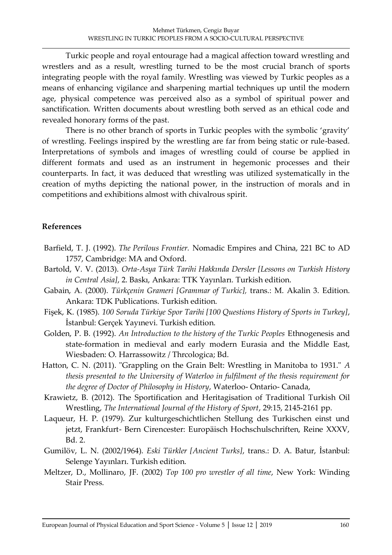Turkic people and royal entourage had a magical affection toward wrestling and wrestlers and as a result, wrestling turned to be the most crucial branch of sports integrating people with the royal family. Wrestling was viewed by Turkic peoples as a means of enhancing vigilance and sharpening martial techniques up until the modern age, physical competence was perceived also as a symbol of spiritual power and sanctification. Written documents about wrestling both served as an ethical code and revealed honorary forms of the past.

There is no other branch of sports in Turkic peoples with the symbolic 'gravity' of wrestling. Feelings inspired by the wrestling are far from being static or rule-based. Interpretations of symbols and images of wrestling could of course be applied in different formats and used as an instrument in hegemonic processes and their counterparts. In fact, it was deduced that wrestling was utilized systematically in the creation of myths depicting the national power, in the instruction of morals and in competitions and exhibitions almost with chivalrous spirit.

## **References**

- Barfield, T. J. (1992). *The Perilous Frontier.* Nomadic Empires and China, 221 BC to AD 1757, Cambridge: MA and Oxford.
- Bartold, V. V. (2013). *Orta-Asya Türk Tarihi Hakkında Dersler [Lessons on Turkish History in Central Asia]*, 2. Baskı, Ankara: TTK Yayınları. Turkish edition.
- Gabain, A. (2000). *Türkçenin Grameri [Grammar of Turkic],* trans.: M. Akalin 3. Edition. Ankara: TDK Publications. Turkish edition.
- Fişek, K. (1985). *100 Soruda Türkiye Spor Tarihi [100 Questions History of Sports in Turkey]*, İstanbul: Gerçek Yayınevi. Turkish edition.
- Golden, P. B. (1992). *An Introduction to the history of the Turkic Peoples* Ethnogenesis and state-formation in medieval and early modern Eurasia and the Middle East, Wiesbaden: O. Harrassowitz / Thrcologica; Bd.
- Hatton, C. N. (2011). "Grappling on the Grain Belt: Wrestling in Manitoba to 1931." *A thesis presented to the University of Waterloo in fulfilment of the thesis requirement for the degree of Doctor of Philosophy in History*, Waterloo- Ontario- Canada,
- Krawietz, B. (2012). The Sportification and Heritagisation of Traditional Turkish Oil Wrestling, *The International Journal of the History of Sport*, 29:15, 2145-2161 pp.
- Laqueur, H. P. (1979). Zur kulturgeschichtlichen Stellung des Turkischen einst und jetzt, Frankfurt- Bern Cirencester: Europäisch Hochschulschriften, Reine XXXV, Bd. 2.
- Gumilöv, L. N. (2002/1964). *Eski Türkler [Ancient Turks]*, trans.: D. A. Batur, İstanbul: Selenge Yayınları. Turkish edition.
- Meltzer, D., Mollinaro, JF. (2002) *Top 100 pro wrestler of all time*, New York: Winding Stair Press.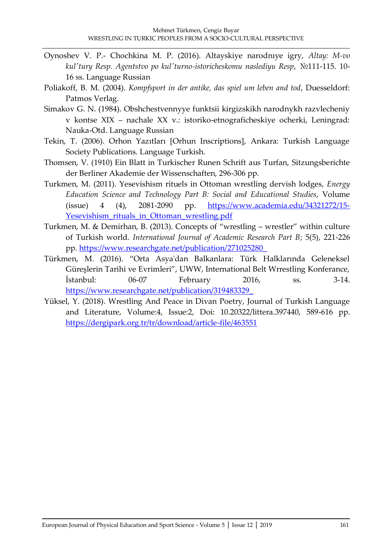- Oynoshev V. P.- Chochkina M. P. (2016). Altayskiye narodnıye igry, *Altay: M-vo kul'tury Resp. Agentstvo po kul'turno-istoricheskomu naslediyu Resp*, №111-115. 10- 16 ss. Language Russian
- Poliakoff, B. M. (2004). *Kompfsport in der antike, das spiel um leben and tod*, Duesseldorf: Patmos Verlag.
- Simakov G. N. (1984). Obshchestvennyye funktsii kirgizskikh narodnykh razvlecheniy v kontse XIX – nachale XX v.: istoriko-etnograficheskiye ocherki, Leningrad: Nauka-Otd. Language Russian
- Tekin, T. (2006). Orhon Yazıtları [Orhun Inscriptions], Ankara: Turkish Language Society Publications. Language Turkish.
- Thomsen, V. (1910) Ein Blatt in Turkischer Runen Schrift aus Turfan, Sitzungsberichte der Berliner Akademie der Wissenschaften, 296-306 pp.
- Turkmen, M. (2011). Yesevishism rituels in Ottoman wrestling dervish lodges, *Energy Education Science and Technology Part B: Social and Educational Studies*, Volume (issue) 4 (4), 2081-2090 pp. [https://www.academia.edu/34321272/15-](https://www.academia.edu/34321272/15-Yesevishism_rituals_in_Ottoman_wrestling.pdf) [Yesevishism\\_rituals\\_in\\_Ottoman\\_wrestling.pdf](https://www.academia.edu/34321272/15-Yesevishism_rituals_in_Ottoman_wrestling.pdf)
- Turkmen, M. & Demirhan, B. (2013). Concepts of "wrestling wrestler" within culture of Turkish world. *International Journal of Academic Research Part B*; 5(5), 221-226 pp. [https://www.researchgate.net/publication/271025280\\_](https://www.researchgate.net/publication/271025280_)
- Türkmen, M. (2016). "Orta Asya'dan Balkanlara: Türk Halklarında Geleneksel Güreşlerin Tarihi ve Evrimleri", UWW, International Belt Wrrestling Konferance, İstanbul: 06-07 February 2016, ss. 3-14. [https://www.researchgate.net/publication/319483329\\_](https://www.researchgate.net/publication/319483329_)
- Yüksel, Y. (2018). Wrestling And Peace in Divan Poetry, Journal of Turkish Language and Literature, Volume:4, Issue:2, Doi: 10.20322/littera.397440, 589-616 pp. <https://dergipark.org.tr/tr/download/article-file/463551>